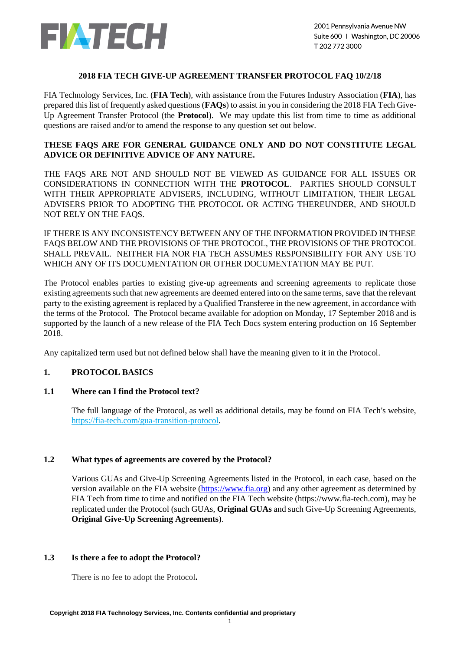

## **2018 FIA TECH GIVE-UP AGREEMENT TRANSFER PROTOCOL FAQ 10/2/18**

FIA Technology Services, Inc. (**FIA Tech**), with assistance from the Futures Industry Association (**FIA**), has prepared this list of frequently asked questions (**FAQs**) to assist in you in considering the 2018 FIA Tech Give-Up Agreement Transfer Protocol (the **Protocol**). We may update this list from time to time as additional questions are raised and/or to amend the response to any question set out below.

## **THESE FAQS ARE FOR GENERAL GUIDANCE ONLY AND DO NOT CONSTITUTE LEGAL ADVICE OR DEFINITIVE ADVICE OF ANY NATURE.**

THE FAQS ARE NOT AND SHOULD NOT BE VIEWED AS GUIDANCE FOR ALL ISSUES OR CONSIDERATIONS IN CONNECTION WITH THE **PROTOCOL**. PARTIES SHOULD CONSULT WITH THEIR APPROPRIATE ADVISERS, INCLUDING, WITHOUT LIMITATION, THEIR LEGAL ADVISERS PRIOR TO ADOPTING THE PROTOCOL OR ACTING THEREUNDER, AND SHOULD NOT RELY ON THE FAQS.

IF THERE IS ANY INCONSISTENCY BETWEEN ANY OF THE INFORMATION PROVIDED IN THESE FAQS BELOW AND THE PROVISIONS OF THE PROTOCOL, THE PROVISIONS OF THE PROTOCOL SHALL PREVAIL. NEITHER FIA NOR FIA TECH ASSUMES RESPONSIBILITY FOR ANY USE TO WHICH ANY OF ITS DOCUMENTATION OR OTHER DOCUMENTATION MAY BE PUT.

The Protocol enables parties to existing give-up agreements and screening agreements to replicate those existing agreements such that new agreements are deemed entered into on the same terms, save that the relevant party to the existing agreement is replaced by a Qualified Transferee in the new agreement, in accordance with the terms of the Protocol. The Protocol became available for adoption on Monday, 17 September 2018 and is supported by the launch of a new release of the FIA Tech Docs system entering production on 16 September 2018.

Any capitalized term used but not defined below shall have the meaning given to it in the Protocol.

# **1. PROTOCOL BASICS**

### **1.1 Where can I find the Protocol text?**

The full language of the Protocol, as well as additional details, may be found on FIA Tech's website, [https://fia-tech.com/gua-transition-protocol.](https://fia-tech.com/gua-transition-protocol/)

### **1.2 What types of agreements are covered by the Protocol?**

Various GUAs and Give-Up Screening Agreements listed in the Protocol, in each case, based on the version available on the FIA website [\(https://www.fia.org\)](https://www.fia.org/) and any other agreement as determined by FIA Tech from time to time and notified on the FIA Tech website (https://www.fia-tech.com), may be replicated under the Protocol (such GUAs, **Original GUAs** and such Give-Up Screening Agreements, **Original Give-Up Screening Agreements**).

### **1.3 Is there a fee to adopt the Protocol?**

There is no fee to adopt the Protocol**.**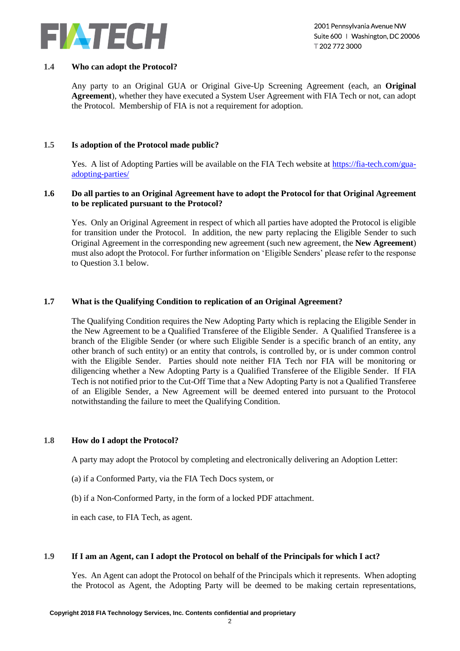

### **1.4 Who can adopt the Protocol?**

Any party to an Original GUA or Original Give-Up Screening Agreement (each, an **Original Agreement**), whether they have executed a System User Agreement with FIA Tech or not, can adopt the Protocol. Membership of FIA is not a requirement for adoption.

## **1.5 Is adoption of the Protocol made public?**

Yes. A list of Adopting Parties will be available on the FIA Tech website at [https://fia-tech.com/gua](https://fia-tech.com/gua-adopting-parties/)[adopting-parties/](https://fia-tech.com/gua-adopting-parties/)

### **1.6 Do all parties to an Original Agreement have to adopt the Protocol for that Original Agreement to be replicated pursuant to the Protocol?**

Yes. Only an Original Agreement in respect of which all parties have adopted the Protocol is eligible for transition under the Protocol. In addition, the new party replacing the Eligible Sender to such Original Agreement in the corresponding new agreement (such new agreement, the **New Agreement**) must also adopt the Protocol. For further information on 'Eligible Senders' please refer to the response to Question [3.1](#page-3-0) below.

## **1.7 What is the Qualifying Condition to replication of an Original Agreement?**

The Qualifying Condition requires the New Adopting Party which is replacing the Eligible Sender in the New Agreement to be a Qualified Transferee of the Eligible Sender. A Qualified Transferee is a branch of the Eligible Sender (or where such Eligible Sender is a specific branch of an entity, any other branch of such entity) or an entity that controls, is controlled by, or is under common control with the Eligible Sender. Parties should note neither FIA Tech nor FIA will be monitoring or diligencing whether a New Adopting Party is a Qualified Transferee of the Eligible Sender. If FIA Tech is not notified prior to the Cut-Off Time that a New Adopting Party is not a Qualified Transferee of an Eligible Sender, a New Agreement will be deemed entered into pursuant to the Protocol notwithstanding the failure to meet the Qualifying Condition.

### **1.8 How do I adopt the Protocol?**

A party may adopt the Protocol by completing and electronically delivering an Adoption Letter:

- (a) if a Conformed Party, via the FIA Tech Docs system, or
- (b) if a Non-Conformed Party, in the form of a locked PDF attachment.

in each case, to FIA Tech, as agent.

### **1.9 If I am an Agent, can I adopt the Protocol on behalf of the Principals for which I act?**

Yes. An Agent can adopt the Protocol on behalf of the Principals which it represents. When adopting the Protocol as Agent, the Adopting Party will be deemed to be making certain representations,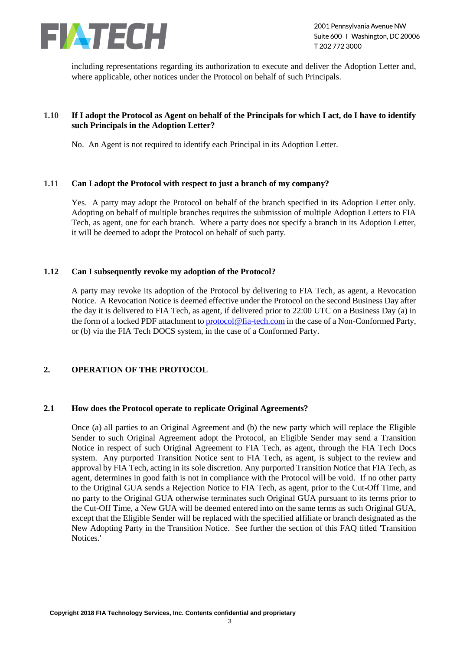

including representations regarding its authorization to execute and deliver the Adoption Letter and, where applicable, other notices under the Protocol on behalf of such Principals.

## **1.10 If I adopt the Protocol as Agent on behalf of the Principals for which I act, do I have to identify such Principals in the Adoption Letter?**

No. An Agent is not required to identify each Principal in its Adoption Letter.

#### **1.11 Can I adopt the Protocol with respect to just a branch of my company?**

Yes. A party may adopt the Protocol on behalf of the branch specified in its Adoption Letter only. Adopting on behalf of multiple branches requires the submission of multiple Adoption Letters to FIA Tech, as agent, one for each branch. Where a party does not specify a branch in its Adoption Letter, it will be deemed to adopt the Protocol on behalf of such party.

#### **1.12 Can I subsequently revoke my adoption of the Protocol?**

A party may revoke its adoption of the Protocol by delivering to FIA Tech, as agent, a Revocation Notice. A Revocation Notice is deemed effective under the Protocol on the second Business Day after the day it is delivered to FIA Tech, as agent, if delivered prior to 22:00 UTC on a Business Day (a) in the form of a locked PDF attachment t[o protocol@fia-tech.com](mailto:docs.support@fia-tech.com) in the case of a Non-Conformed Party, or (b) via the FIA Tech DOCS system, in the case of a Conformed Party.

# **2. OPERATION OF THE PROTOCOL**

### **2.1 How does the Protocol operate to replicate Original Agreements?**

Once (a) all parties to an Original Agreement and (b) the new party which will replace the Eligible Sender to such Original Agreement adopt the Protocol, an Eligible Sender may send a Transition Notice in respect of such Original Agreement to FIA Tech, as agent, through the FIA Tech Docs system. Any purported Transition Notice sent to FIA Tech, as agent, is subject to the review and approval by FIA Tech, acting in its sole discretion. Any purported Transition Notice that FIA Tech, as agent, determines in good faith is not in compliance with the Protocol will be void. If no other party to the Original GUA sends a Rejection Notice to FIA Tech, as agent, prior to the Cut-Off Time, and no party to the Original GUA otherwise terminates such Original GUA pursuant to its terms prior to the Cut-Off Time, a New GUA will be deemed entered into on the same terms as such Original GUA, except that the Eligible Sender will be replaced with the specified affiliate or branch designated as the New Adopting Party in the Transition Notice. See further the section of this FAQ titled 'Transition Notices.'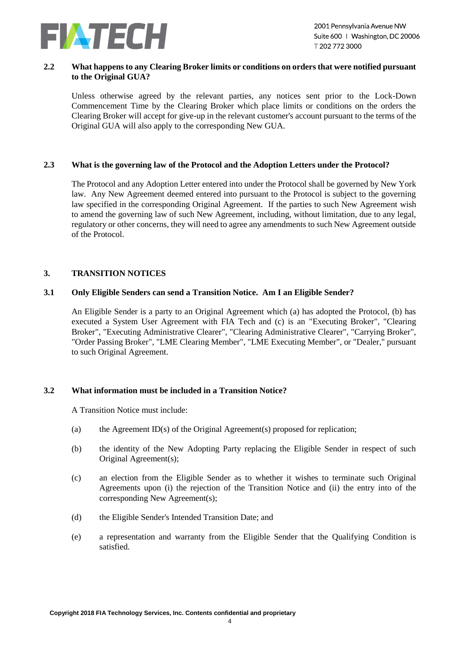

### **2.2 What happens to any Clearing Broker limits or conditions on orders that were notified pursuant to the Original GUA?**

Unless otherwise agreed by the relevant parties, any notices sent prior to the Lock-Down Commencement Time by the Clearing Broker which place limits or conditions on the orders the Clearing Broker will accept for give-up in the relevant customer's account pursuant to the terms of the Original GUA will also apply to the corresponding New GUA.

### **2.3 What is the governing law of the Protocol and the Adoption Letters under the Protocol?**

The Protocol and any Adoption Letter entered into under the Protocol shall be governed by New York law. Any New Agreement deemed entered into pursuant to the Protocol is subject to the governing law specified in the corresponding Original Agreement. If the parties to such New Agreement wish to amend the governing law of such New Agreement, including, without limitation, due to any legal, regulatory or other concerns, they will need to agree any amendments to such New Agreement outside of the Protocol.

## <span id="page-3-0"></span>**3. TRANSITION NOTICES**

### **3.1 Only Eligible Senders can send a Transition Notice. Am I an Eligible Sender?**

An Eligible Sender is a party to an Original Agreement which (a) has adopted the Protocol, (b) has executed a System User Agreement with FIA Tech and (c) is an "Executing Broker", "Clearing Broker", "Executing Administrative Clearer", "Clearing Administrative Clearer", "Carrying Broker", "Order Passing Broker", "LME Clearing Member", "LME Executing Member", or "Dealer," pursuant to such Original Agreement.

### <span id="page-3-1"></span>**3.2 What information must be included in a Transition Notice?**

A Transition Notice must include:

- (a) the Agreement ID(s) of the Original Agreement(s) proposed for replication;
- (b) the identity of the New Adopting Party replacing the Eligible Sender in respect of such Original Agreement(s);
- (c) an election from the Eligible Sender as to whether it wishes to terminate such Original Agreements upon (i) the rejection of the Transition Notice and (ii) the entry into of the corresponding New Agreement(s);
- (d) the Eligible Sender's Intended Transition Date; and
- (e) a representation and warranty from the Eligible Sender that the Qualifying Condition is satisfied.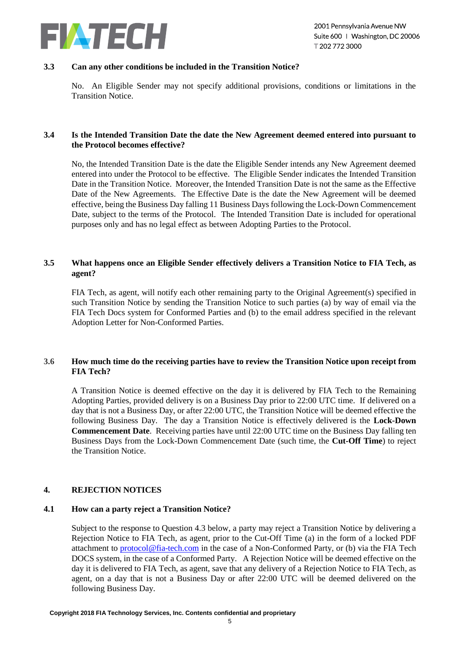

### **3.3 Can any other conditions be included in the Transition Notice?**

No. An Eligible Sender may not specify additional provisions, conditions or limitations in the Transition Notice.

### **3.4 Is the Intended Transition Date the date the New Agreement deemed entered into pursuant to the Protocol becomes effective?**

No, the Intended Transition Date is the date the Eligible Sender intends any New Agreement deemed entered into under the Protocol to be effective. The Eligible Sender indicates the Intended Transition Date in the Transition Notice. Moreover, the Intended Transition Date is not the same as the Effective Date of the New Agreements. The Effective Date is the date the New Agreement will be deemed effective, being the Business Day falling 11 Business Days following the Lock-Down Commencement Date, subject to the terms of the Protocol. The Intended Transition Date is included for operational purposes only and has no legal effect as between Adopting Parties to the Protocol.

## **3.5 What happens once an Eligible Sender effectively delivers a Transition Notice to FIA Tech, as agent?**

FIA Tech, as agent, will notify each other remaining party to the Original Agreement(s) specified in such Transition Notice by sending the Transition Notice to such parties (a) by way of email via the FIA Tech Docs system for Conformed Parties and (b) to the email address specified in the relevant Adoption Letter for Non-Conformed Parties.

# **3.6 How much time do the receiving parties have to review the Transition Notice upon receipt from FIA Tech?**

A Transition Notice is deemed effective on the day it is delivered by FIA Tech to the Remaining Adopting Parties, provided delivery is on a Business Day prior to 22:00 UTC time. If delivered on a day that is not a Business Day, or after 22:00 UTC, the Transition Notice will be deemed effective the following Business Day. The day a Transition Notice is effectively delivered is the **Lock-Down Commencement Date**. Receiving parties have until 22:00 UTC time on the Business Day falling ten Business Days from the Lock-Down Commencement Date (such time, the **Cut-Off Time**) to reject the Transition Notice.

### **4. REJECTION NOTICES**

### **4.1 How can a party reject a Transition Notice?**

Subject to the response to Question [4.3 below,](#page-5-0) a party may reject a Transition Notice by delivering a Rejection Notice to FIA Tech, as agent, prior to the Cut-Off Time (a) in the form of a locked PDF attachment to [protocol@fia-tech.com](mailto:docs.support@fia-tech.com) in the case of a Non-Conformed Party, or (b) via the FIA Tech DOCS system, in the case of a Conformed Party. A Rejection Notice will be deemed effective on the day it is delivered to FIA Tech, as agent, save that any delivery of a Rejection Notice to FIA Tech, as agent, on a day that is not a Business Day or after 22:00 UTC will be deemed delivered on the following Business Day.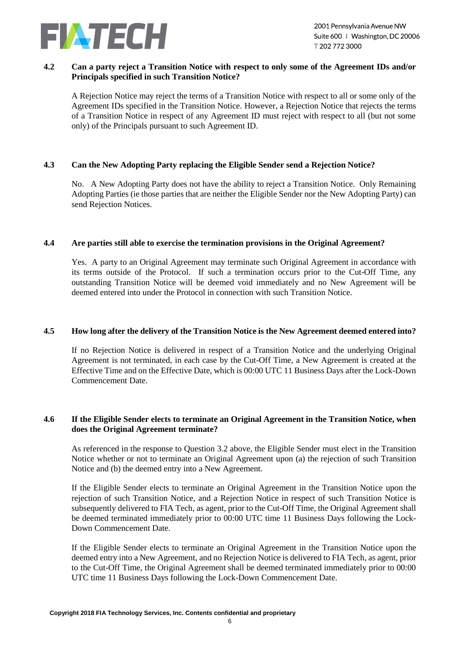

### **4.2 Can a party reject a Transition Notice with respect to only some of the Agreement IDs and/or Principals specified in such Transition Notice?**

A Rejection Notice may reject the terms of a Transition Notice with respect to all or some only of the Agreement IDs specified in the Transition Notice. However, a Rejection Notice that rejects the terms of a Transition Notice in respect of any Agreement ID must reject with respect to all (but not some only) of the Principals pursuant to such Agreement ID.

### <span id="page-5-0"></span>**4.3 Can the New Adopting Party replacing the Eligible Sender send a Rejection Notice?**

No. A New Adopting Party does not have the ability to reject a Transition Notice. Only Remaining Adopting Parties (ie those parties that are neither the Eligible Sender nor the New Adopting Party) can send Rejection Notices.

## **4.4 Are parties still able to exercise the termination provisions in the Original Agreement?**

Yes. A party to an Original Agreement may terminate such Original Agreement in accordance with its terms outside of the Protocol. If such a termination occurs prior to the Cut-Off Time, any outstanding Transition Notice will be deemed void immediately and no New Agreement will be deemed entered into under the Protocol in connection with such Transition Notice.

# **4.5 How long after the delivery of the Transition Notice is the New Agreement deemed entered into?**

If no Rejection Notice is delivered in respect of a Transition Notice and the underlying Original Agreement is not terminated, in each case by the Cut-Off Time, a New Agreement is created at the Effective Time and on the Effective Date, which is 00:00 UTC 11 Business Days after the Lock-Down Commencement Date.

## **4.6 If the Eligible Sender elects to terminate an Original Agreement in the Transition Notice, when does the Original Agreement terminate?**

As referenced in the response to Question [3.2](#page-3-1) above, the Eligible Sender must elect in the Transition Notice whether or not to terminate an Original Agreement upon (a) the rejection of such Transition Notice and (b) the deemed entry into a New Agreement.

If the Eligible Sender elects to terminate an Original Agreement in the Transition Notice upon the rejection of such Transition Notice, and a Rejection Notice in respect of such Transition Notice is subsequently delivered to FIA Tech, as agent, prior to the Cut-Off Time, the Original Agreement shall be deemed terminated immediately prior to 00:00 UTC time 11 Business Days following the Lock-Down Commencement Date.

If the Eligible Sender elects to terminate an Original Agreement in the Transition Notice upon the deemed entry into a New Agreement, and no Rejection Notice is delivered to FIA Tech, as agent, prior to the Cut-Off Time, the Original Agreement shall be deemed terminated immediately prior to 00:00 UTC time 11 Business Days following the Lock-Down Commencement Date.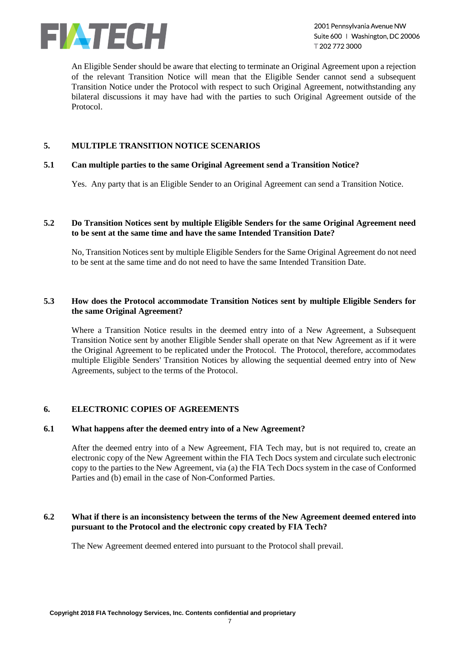

2001 Pennsylvania Avenue NW Suite 600 | Washington, DC 20006 T2027723000

An Eligible Sender should be aware that electing to terminate an Original Agreement upon a rejection of the relevant Transition Notice will mean that the Eligible Sender cannot send a subsequent Transition Notice under the Protocol with respect to such Original Agreement, notwithstanding any bilateral discussions it may have had with the parties to such Original Agreement outside of the Protocol.

## **5. MULTIPLE TRANSITION NOTICE SCENARIOS**

#### **5.1 Can multiple parties to the same Original Agreement send a Transition Notice?**

Yes. Any party that is an Eligible Sender to an Original Agreement can send a Transition Notice.

### **5.2 Do Transition Notices sent by multiple Eligible Senders for the same Original Agreement need to be sent at the same time and have the same Intended Transition Date?**

No, Transition Notices sent by multiple Eligible Senders for the Same Original Agreement do not need to be sent at the same time and do not need to have the same Intended Transition Date.

## **5.3 How does the Protocol accommodate Transition Notices sent by multiple Eligible Senders for the same Original Agreement?**

Where a Transition Notice results in the deemed entry into of a New Agreement, a Subsequent Transition Notice sent by another Eligible Sender shall operate on that New Agreement as if it were the Original Agreement to be replicated under the Protocol. The Protocol, therefore, accommodates multiple Eligible Senders' Transition Notices by allowing the sequential deemed entry into of New Agreements, subject to the terms of the Protocol.

### **6. ELECTRONIC COPIES OF AGREEMENTS**

## **6.1 What happens after the deemed entry into of a New Agreement?**

After the deemed entry into of a New Agreement, FIA Tech may, but is not required to, create an electronic copy of the New Agreement within the FIA Tech Docs system and circulate such electronic copy to the parties to the New Agreement, via (a) the FIA Tech Docs system in the case of Conformed Parties and (b) email in the case of Non-Conformed Parties.

### **6.2 What if there is an inconsistency between the terms of the New Agreement deemed entered into pursuant to the Protocol and the electronic copy created by FIA Tech?**

The New Agreement deemed entered into pursuant to the Protocol shall prevail.